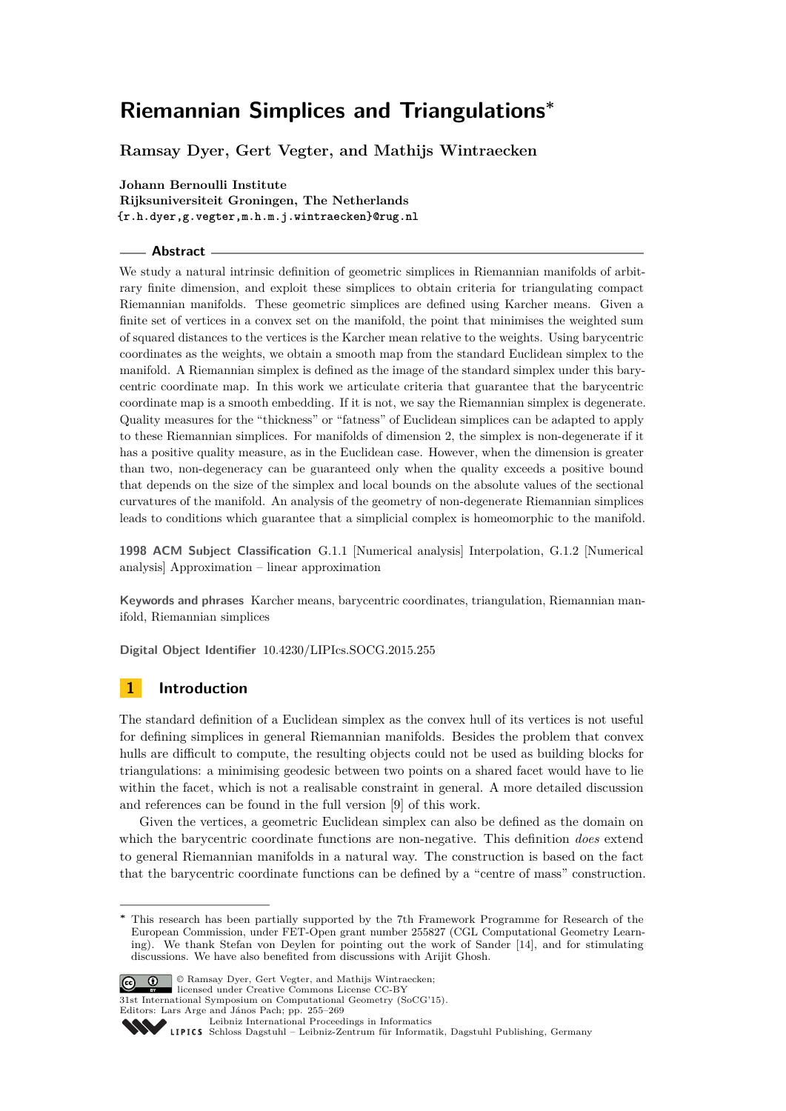**Ramsay Dyer, Gert Vegter, and Mathijs Wintraecken**

**Johann Bernoulli Institute Rijksuniversiteit Groningen, The Netherlands {r.h.dyer,g.vegter,m.h.m.j.wintraecken}@rug.nl**

## **Abstract**

We study a natural intrinsic definition of geometric simplices in Riemannian manifolds of arbitrary finite dimension, and exploit these simplices to obtain criteria for triangulating compact Riemannian manifolds. These geometric simplices are defined using Karcher means. Given a finite set of vertices in a convex set on the manifold, the point that minimises the weighted sum of squared distances to the vertices is the Karcher mean relative to the weights. Using barycentric coordinates as the weights, we obtain a smooth map from the standard Euclidean simplex to the manifold. A Riemannian simplex is defined as the image of the standard simplex under this barycentric coordinate map. In this work we articulate criteria that guarantee that the barycentric coordinate map is a smooth embedding. If it is not, we say the Riemannian simplex is degenerate. Quality measures for the "thickness" or "fatness" of Euclidean simplices can be adapted to apply to these Riemannian simplices. For manifolds of dimension 2, the simplex is non-degenerate if it has a positive quality measure, as in the Euclidean case. However, when the dimension is greater than two, non-degeneracy can be guaranteed only when the quality exceeds a positive bound that depends on the size of the simplex and local bounds on the absolute values of the sectional curvatures of the manifold. An analysis of the geometry of non-degenerate Riemannian simplices leads to conditions which guarantee that a simplicial complex is homeomorphic to the manifold.

**1998 ACM Subject Classification** G.1.1 [Numerical analysis] Interpolation, G.1.2 [Numerical analysis] Approximation – linear approximation

**Keywords and phrases** Karcher means, barycentric coordinates, triangulation, Riemannian manifold, Riemannian simplices

**Digital Object Identifier** [10.4230/LIPIcs.SOCG.2015.255](http://dx.doi.org/10.4230/LIPIcs.SOCG.2015.255)

# **1 Introduction**

The standard definition of a Euclidean simplex as the convex hull of its vertices is not useful for defining simplices in general Riemannian manifolds. Besides the problem that convex hulls are difficult to compute, the resulting objects could not be used as building blocks for triangulations: a minimising geodesic between two points on a shared facet would have to lie within the facet, which is not a realisable constraint in general. A more detailed discussion and references can be found in the full version [\[9\]](#page-14-0) of this work.

Given the vertices, a geometric Euclidean simplex can also be defined as the domain on which the barycentric coordinate functions are non-negative. This definition *does* extend to general Riemannian manifolds in a natural way. The construction is based on the fact that the barycentric coordinate functions can be defined by a "centre of mass" construction.

This research has been partially supported by the 7th Framework Programme for Research of the European Commission, under FET-Open grant number 255827 (CGL Computational Geometry Learning). We thank Stefan von Deylen for pointing out the work of Sander [\[14\]](#page-14-1), and for stimulating discussions. We have also benefited from discussions with Arijit Ghosh.



© Ramsay Dyer, Gert Vegter, and Mathijs Wintraecken;

licensed under Creative Commons License CC-BY 31st International Symposium on Computational Geometry (SoCG'15).

Editors: Lars Arge and János Pach; pp. 255[–269](#page-14-2)

[Leibniz International Proceedings in Informatics](http://www.dagstuhl.de/lipics/)

Leibniz international Froceedings in missimosischer Magstuhl Publishing, Germany<br>LIPICS [Schloss Dagstuhl – Leibniz-Zentrum für Informatik, Dagstuhl Publishing, Germany](http://www.dagstuhl.de)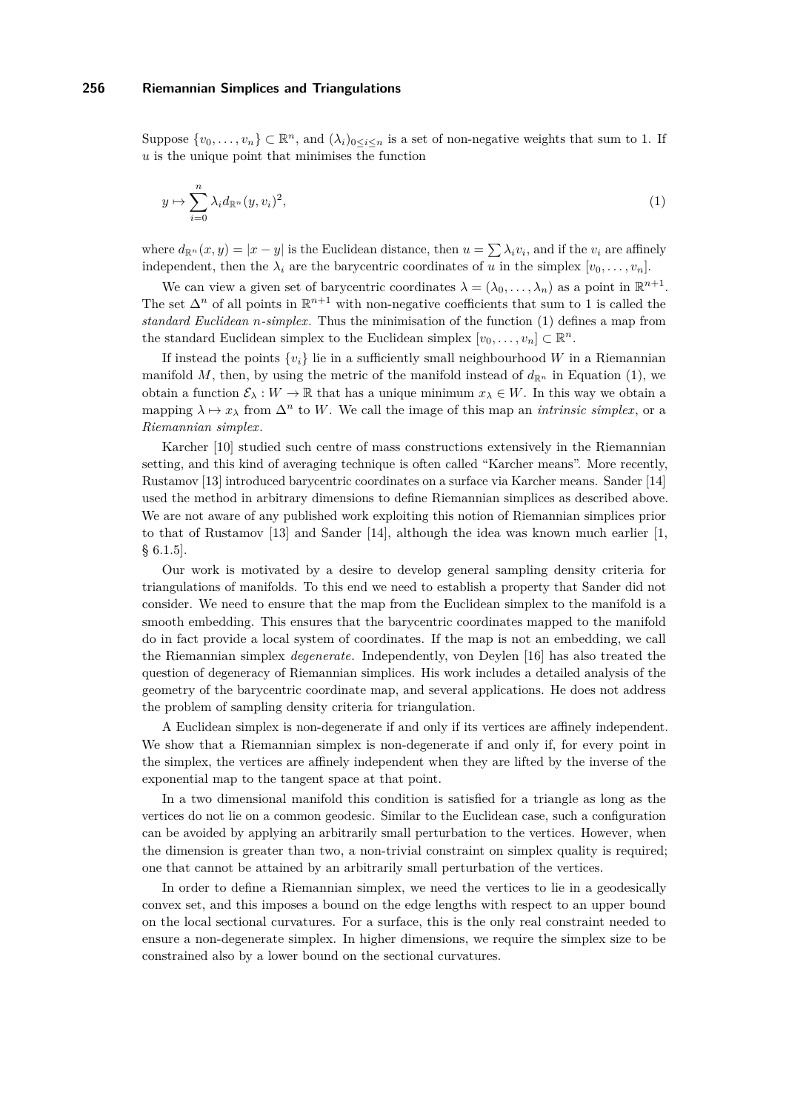Suppose  $\{v_0, \ldots, v_n\} \subset \mathbb{R}^n$ , and  $(\lambda_i)_{0 \leq i \leq n}$  is a set of non-negative weights that sum to 1. If *u* is the unique point that minimises the function

<span id="page-1-0"></span>
$$
y \mapsto \sum_{i=0}^{n} \lambda_i d_{\mathbb{R}^n} (y, v_i)^2,
$$
\n<sup>(1)</sup>

where  $d_{\mathbb{R}^n}(x, y) = |x - y|$  is the Euclidean distance, then  $u = \sum \lambda_i v_i$ , and if the  $v_i$  are affinely independent, then the  $\lambda_i$  are the barycentric coordinates of *u* in the simplex  $[v_0, \ldots, v_n]$ .

We can view a given set of barycentric coordinates  $\lambda = (\lambda_0, \dots, \lambda_n)$  as a point in  $\mathbb{R}^{n+1}$ . The set  $\Delta^n$  of all points in  $\mathbb{R}^{n+1}$  with non-negative coefficients that sum to 1 is called the *standard Euclidean n-simplex*. Thus the minimisation of the function [\(1\)](#page-1-0) defines a map from the standard Euclidean simplex to the Euclidean simplex  $[v_0, \ldots, v_n] \subset \mathbb{R}^n$ .

If instead the points  $\{v_i\}$  lie in a sufficiently small neighbourhood *W* in a Riemannian manifold *M*, then, by using the metric of the manifold instead of  $d_{\mathbb{R}^n}$  in Equation [\(1\)](#page-1-0), we obtain a function  $\mathcal{E}_{\lambda}: W \to \mathbb{R}$  that has a unique minimum  $x_{\lambda} \in W$ . In this way we obtain a mapping  $\lambda \mapsto x_\lambda$  from  $\Delta^n$  to *W*. We call the image of this map an *intrinsic simplex*, or a *Riemannian simplex*.

Karcher [\[10\]](#page-14-3) studied such centre of mass constructions extensively in the Riemannian setting, and this kind of averaging technique is often called "Karcher means". More recently, Rustamov [\[13\]](#page-14-4) introduced barycentric coordinates on a surface via Karcher means. Sander [\[14\]](#page-14-1) used the method in arbitrary dimensions to define Riemannian simplices as described above. We are not aware of any published work exploiting this notion of Riemannian simplices prior to that of Rustamov [\[13\]](#page-14-4) and Sander [\[14\]](#page-14-1), although the idea was known much earlier [\[1,](#page-13-0) § 6.1.5].

Our work is motivated by a desire to develop general sampling density criteria for triangulations of manifolds. To this end we need to establish a property that Sander did not consider. We need to ensure that the map from the Euclidean simplex to the manifold is a smooth embedding. This ensures that the barycentric coordinates mapped to the manifold do in fact provide a local system of coordinates. If the map is not an embedding, we call the Riemannian simplex *degenerate*. Independently, von Deylen [\[16\]](#page-14-5) has also treated the question of degeneracy of Riemannian simplices. His work includes a detailed analysis of the geometry of the barycentric coordinate map, and several applications. He does not address the problem of sampling density criteria for triangulation.

A Euclidean simplex is non-degenerate if and only if its vertices are affinely independent. We show that a Riemannian simplex is non-degenerate if and only if, for every point in the simplex, the vertices are affinely independent when they are lifted by the inverse of the exponential map to the tangent space at that point.

In a two dimensional manifold this condition is satisfied for a triangle as long as the vertices do not lie on a common geodesic. Similar to the Euclidean case, such a configuration can be avoided by applying an arbitrarily small perturbation to the vertices. However, when the dimension is greater than two, a non-trivial constraint on simplex quality is required; one that cannot be attained by an arbitrarily small perturbation of the vertices.

In order to define a Riemannian simplex, we need the vertices to lie in a geodesically convex set, and this imposes a bound on the edge lengths with respect to an upper bound on the local sectional curvatures. For a surface, this is the only real constraint needed to ensure a non-degenerate simplex. In higher dimensions, we require the simplex size to be constrained also by a lower bound on the sectional curvatures.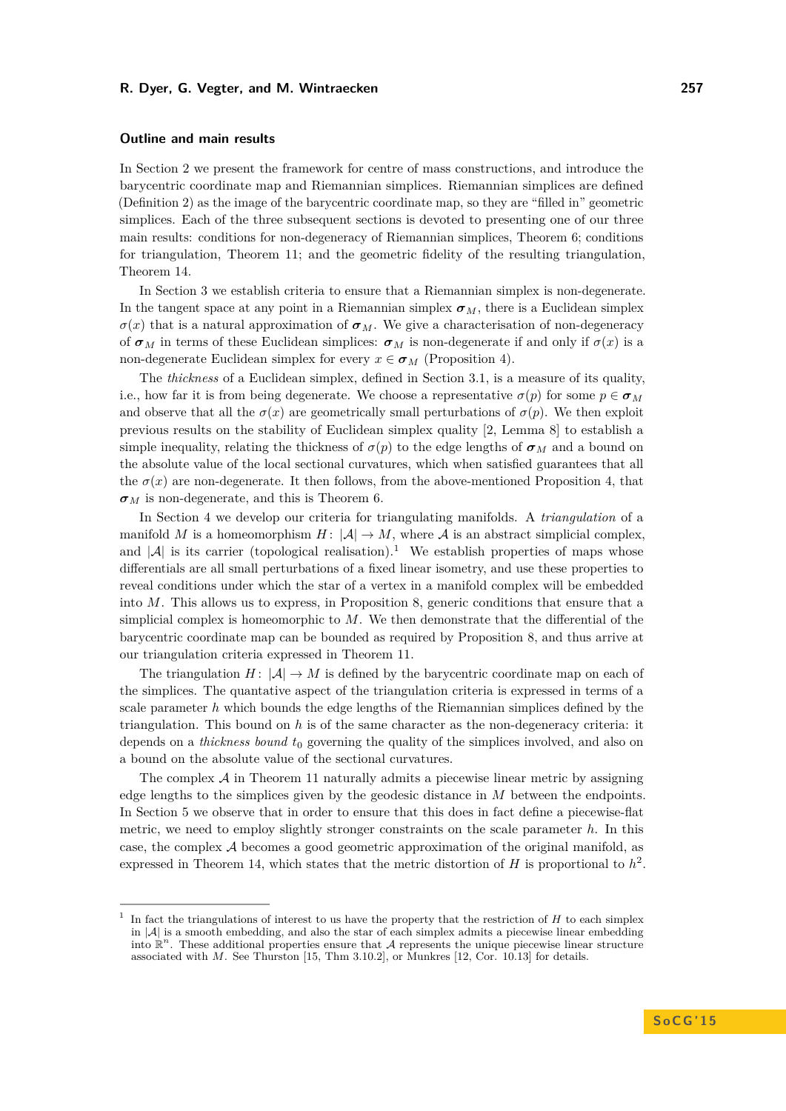## **Outline and main results**

In Section [2](#page-3-0) we present the framework for centre of mass constructions, and introduce the barycentric coordinate map and Riemannian simplices. Riemannian simplices are defined (Definition [2\)](#page-4-0) as the image of the barycentric coordinate map, so they are "filled in" geometric simplices. Each of the three subsequent sections is devoted to presenting one of our three main results: conditions for non-degeneracy of Riemannian simplices, Theorem [6;](#page-8-0) conditions for triangulation, Theorem [11;](#page-11-0) and the geometric fidelity of the resulting triangulation, Theorem [14.](#page-12-0)

In Section [3](#page-4-1) we establish criteria to ensure that a Riemannian simplex is non-degenerate. In the tangent space at any point in a Riemannian simplex  $\sigma_M$ , there is a Euclidean simplex  $\sigma(x)$  that is a natural approximation of  $\sigma_M$ . We give a characterisation of non-degeneracy of  $\sigma_M$  in terms of these Euclidean simplices:  $\sigma_M$  is non-degenerate if and only if  $\sigma(x)$  is a non-degenerate Euclidean simplex for every  $x \in \sigma_M$  (Proposition [4\)](#page-7-0).

The *thickness* of a Euclidean simplex, defined in Section [3.1,](#page-5-0) is a measure of its quality, i.e., how far it is from being degenerate. We choose a representative  $\sigma(p)$  for some  $p \in \sigma_M$ and observe that all the  $\sigma(x)$  are geometrically small perturbations of  $\sigma(p)$ . We then exploit previous results on the stability of Euclidean simplex quality [\[2,](#page-13-1) Lemma 8] to establish a simple inequality, relating the thickness of  $\sigma(p)$  to the edge lengths of  $\sigma<sub>M</sub>$  and a bound on the absolute value of the local sectional curvatures, which when satisfied guarantees that all the  $\sigma(x)$  are non-degenerate. It then follows, from the above-mentioned Proposition [4,](#page-7-0) that  $\sigma_M$  is non-degenerate, and this is Theorem [6.](#page-8-0)

In Section [4](#page-8-1) we develop our criteria for triangulating manifolds. A *triangulation* of a manifold *M* is a homeomorphism  $H: |\mathcal{A}| \to M$ , where *A* is an abstract simplicial complex, and  $|\mathcal{A}|$  is its carrier (topological realisation).<sup>[1](#page-2-0)</sup> We establish properties of maps whose differentials are all small perturbations of a fixed linear isometry, and use these properties to reveal conditions under which the star of a vertex in a manifold complex will be embedded into *M*. This allows us to express, in Proposition [8,](#page-10-0) generic conditions that ensure that a simplicial complex is homeomorphic to *M*. We then demonstrate that the differential of the barycentric coordinate map can be bounded as required by Proposition [8,](#page-10-0) and thus arrive at our triangulation criteria expressed in Theorem [11.](#page-11-0)

The triangulation  $H: |\mathcal{A}| \to M$  is defined by the barycentric coordinate map on each of the simplices. The quantative aspect of the triangulation criteria is expressed in terms of a scale parameter *h* which bounds the edge lengths of the Riemannian simplices defined by the triangulation. This bound on *h* is of the same character as the non-degeneracy criteria: it depends on a *thickness bound*  $t_0$  governing the quality of the simplices involved, and also on a bound on the absolute value of the sectional curvatures.

The complex  $\mathcal A$  in Theorem [11](#page-11-0) naturally admits a piecewise linear metric by assigning edge lengths to the simplices given by the geodesic distance in *M* between the endpoints. In Section [5](#page-11-1) we observe that in order to ensure that this does in fact define a piecewise-flat metric, we need to employ slightly stronger constraints on the scale parameter *h*. In this case, the complex  $A$  becomes a good geometric approximation of the original manifold, as expressed in Theorem [14,](#page-12-0) which states that the metric distortion of  $H$  is proportional to  $h^2$ .

<span id="page-2-0"></span><sup>1</sup> In fact the triangulations of interest to us have the property that the restriction of *H* to each simplex in  $|\mathcal{A}|$  is a smooth embedding, and also the star of each simplex admits a piecewise linear embedding into  $\mathbb{R}^n$ . These additional properties ensure that A represents the unique piecewise linear structure associated with *M*. See Thurston [\[15,](#page-14-6) Thm 3.10.2], or Munkres [\[12,](#page-14-7) Cor. 10.13] for details.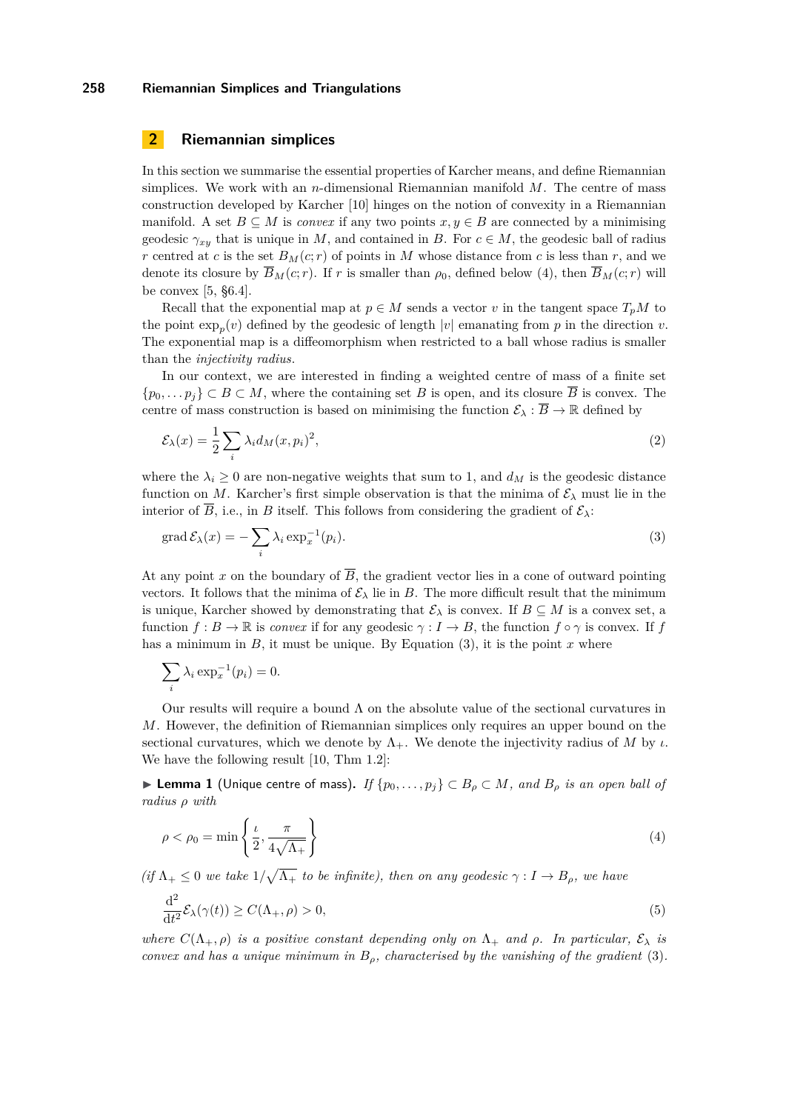# <span id="page-3-0"></span>**2 Riemannian simplices**

In this section we summarise the essential properties of Karcher means, and define Riemannian simplices. We work with an *n*-dimensional Riemannian manifold *M*. The centre of mass construction developed by Karcher [\[10\]](#page-14-3) hinges on the notion of convexity in a Riemannian manifold. A set  $B \subseteq M$  is *convex* if any two points  $x, y \in B$  are connected by a minimising geodesic  $\gamma_{xy}$  that is unique in *M*, and contained in *B*. For  $c \in M$ , the geodesic ball of radius *r* centred at *c* is the set  $B_M(c; r)$  of points in M whose distance from *c* is less than *r*, and we denote its closure by  $\overline{B}_M(c;r)$ . If *r* is smaller than  $\rho_0$ , defined below [\(4\)](#page-3-1), then  $\overline{B}_M(c;r)$  will be convex  $[5, §6.4]$  $[5, §6.4]$ .

Recall that the exponential map at  $p \in M$  sends a vector *v* in the tangent space  $T_pM$  to the point  $\exp_p(v)$  defined by the geodesic of length  $|v|$  emanating from p in the direction v. The exponential map is a diffeomorphism when restricted to a ball whose radius is smaller than the *injectivity radius*.

In our context, we are interested in finding a weighted centre of mass of a finite set  $\{p_0, \ldots, p_j\} \subset B \subset M$ , where the containing set *B* is open, and its closure  $\overline{B}$  is convex. The centre of mass construction is based on minimising the function  $\mathcal{E}_\lambda:\overline{B}\to\mathbb{R}$  defined by

$$
\mathcal{E}_{\lambda}(x) = \frac{1}{2} \sum_{i} \lambda_i d_M(x, p_i)^2,
$$
\n(2)

where the  $\lambda_i \geq 0$  are non-negative weights that sum to 1, and  $d_M$  is the geodesic distance function on *M*. Karcher's first simple observation is that the minima of  $\mathcal{E}_{\lambda}$  must lie in the interior of  $\overline{B}$ , i.e., in *B* itself. This follows from considering the gradient of  $\mathcal{E}_{\lambda}$ :

<span id="page-3-2"></span>
$$
\operatorname{grad} \mathcal{E}_{\lambda}(x) = -\sum_{i} \lambda_{i} \exp_{x}^{-1}(p_{i}).
$$
\n(3)

At any point *x* on the boundary of  $\overline{B}$ , the gradient vector lies in a cone of outward pointing vectors. It follows that the minima of  $\mathcal{E}_{\lambda}$  lie in *B*. The more difficult result that the minimum is unique, Karcher showed by demonstrating that  $\mathcal{E}_{\lambda}$  is convex. If  $B \subseteq M$  is a convex set, a function  $f : B \to \mathbb{R}$  is *convex* if for any geodesic  $\gamma : I \to B$ , the function  $f \circ \gamma$  is convex. If *f* has a minimum in  $B$ , it must be unique. By Equation [\(3\)](#page-3-2), it is the point  $x$  where

$$
\sum_{i} \lambda_i \exp_x^{-1}(p_i) = 0.
$$

Our results will require a bound  $\Lambda$  on the absolute value of the sectional curvatures in *M*. However, the definition of Riemannian simplices only requires an upper bound on the sectional curvatures, which we denote by  $\Lambda_{+}$ . We denote the injectivity radius of M by *ι*. We have the following result [\[10,](#page-14-3) Thm 1.2]:

<span id="page-3-3"></span>▶ Lemma 1 (Unique centre of mass). *If*  $\{p_0, \ldots, p_j\} \subset B_\rho \subset M$ , and  $B_\rho$  *is an open ball of radius ρ with*

<span id="page-3-1"></span>
$$
\rho < \rho_0 = \min\left\{\frac{\iota}{2}, \frac{\pi}{4\sqrt{\Lambda_+}}\right\} \tag{4}
$$

 $(f \Lambda_+ \leq 0 \text{ we take } 1/\sqrt{\Lambda_+}$  *to be infinite), then on any geodesic*  $\gamma: I \to B_\rho$ *, we have* 

<span id="page-3-4"></span>
$$
\frac{\mathrm{d}^2}{\mathrm{d}t^2} \mathcal{E}_\lambda(\gamma(t)) \ge C(\Lambda_+, \rho) > 0,\tag{5}
$$

*where*  $C(\Lambda_+, \rho)$  *is a positive constant depending only on*  $\Lambda_+$  *and*  $\rho$ *. In particular,*  $\mathcal{E}_{\lambda}$  *is convex and has a unique minimum in Bρ, characterised by the vanishing of the gradient* [\(3\)](#page-3-2)*.*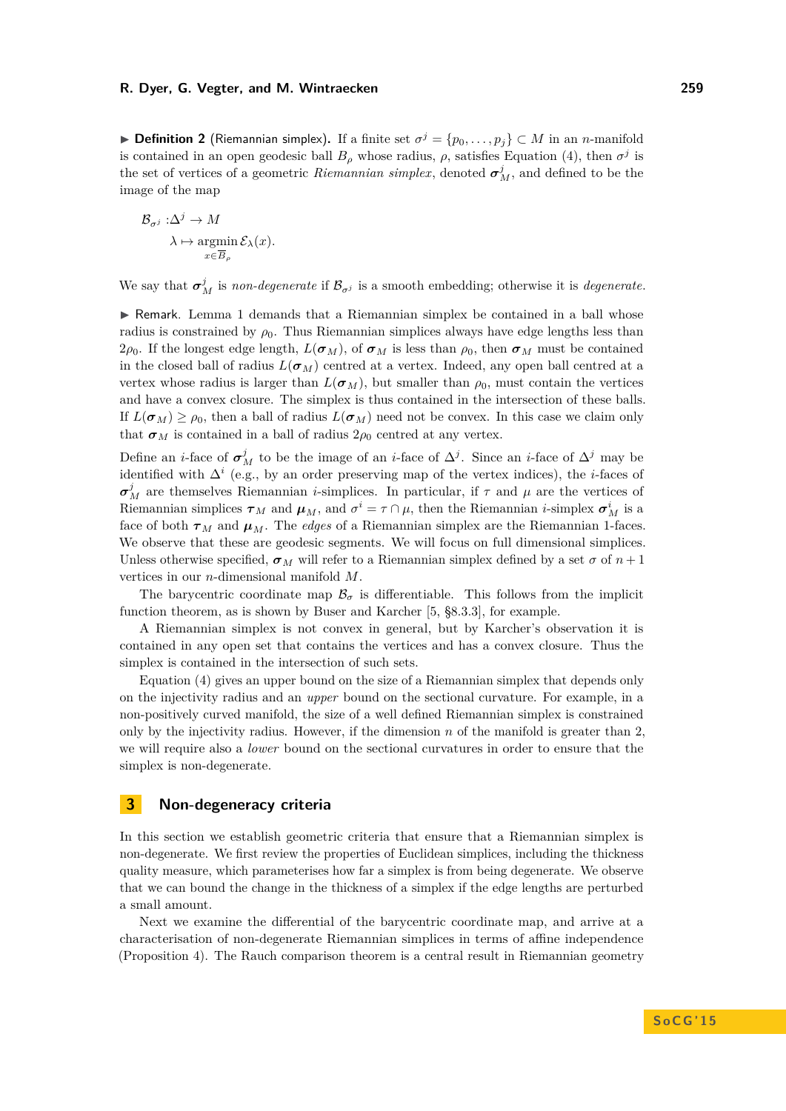<span id="page-4-0"></span>► **Definition 2** (Riemannian simplex). If a finite set  $\sigma^j = \{p_0, \ldots, p_j\} \subset M$  in an *n*-manifold is contained in an open geodesic ball  $B_\rho$  whose radius,  $\rho$ , satisfies Equation [\(4\)](#page-3-1), then  $\sigma^j$  is the set of vertices of a geometric *Riemannian simplex*, denoted  $\sigma_M^j$ , and defined to be the image of the map

$$
\mathcal{B}_{\sigma^j} : \Delta^j \to M
$$

$$
\lambda \mapsto \operatorname*{argmin}_{x \in \overline{B}_{\rho}} \mathcal{E}_{\lambda}(x).
$$

We say that  $\sigma_M^j$  is *non-degenerate* if  $\mathcal{B}_{\sigma^j}$  is a smooth embedding; otherwise it is *degenerate*.

 $\triangleright$  Remark. Lemma [1](#page-3-3) demands that a Riemannian simplex be contained in a ball whose radius is constrained by  $\rho_0$ . Thus Riemannian simplices always have edge lengths less than 2 $\rho_0$ . If the longest edge length,  $L(\sigma_M)$ , of  $\sigma_M$  is less than  $\rho_0$ , then  $\sigma_M$  must be contained in the closed ball of radius  $L(\sigma_M)$  centred at a vertex. Indeed, any open ball centred at a vertex whose radius is larger than  $L(\sigma_M)$ , but smaller than  $\rho_0$ , must contain the vertices and have a convex closure. The simplex is thus contained in the intersection of these balls. If  $L(\sigma_M) \ge \rho_0$ , then a ball of radius  $L(\sigma_M)$  need not be convex. In this case we claim only that  $\sigma_M$  is contained in a ball of radius  $2\rho_0$  centred at any vertex.

Define an *i*-face of  $\sigma_M^j$  to be the image of an *i*-face of  $\Delta^j$ . Since an *i*-face of  $\Delta^j$  may be identified with ∆*<sup>i</sup>* (e.g., by an order preserving map of the vertex indices), the *i*-faces of *σ*<sup>*j*</sup><sub>*M*</sub> are themselves Riemannian *i*-simplices. In particular, if *τ* and *μ* are the vertices of Riemannian simplices  $\tau_M$  and  $\mu_M$ , and  $\sigma^i = \tau \cap \mu$ , then the Riemannian *i*-simplex  $\sigma^i_M$  is a face of both  $\tau_M$  and  $\mu_M$ . The *edges* of a Riemannian simplex are the Riemannian 1-faces. We observe that these are geodesic segments. We will focus on full dimensional simplices. Unless otherwise specified,  $\sigma_M$  will refer to a Riemannian simplex defined by a set  $\sigma$  of  $n+1$ vertices in our *n*-dimensional manifold *M*.

The barycentric coordinate map  $\mathcal{B}_{\sigma}$  is differentiable. This follows from the implicit function theorem, as is shown by Buser and Karcher [\[5,](#page-13-2) §8.3.3], for example.

A Riemannian simplex is not convex in general, but by Karcher's observation it is contained in any open set that contains the vertices and has a convex closure. Thus the simplex is contained in the intersection of such sets.

Equation [\(4\)](#page-3-1) gives an upper bound on the size of a Riemannian simplex that depends only on the injectivity radius and an *upper* bound on the sectional curvature. For example, in a non-positively curved manifold, the size of a well defined Riemannian simplex is constrained only by the injectivity radius. However, if the dimension  $n$  of the manifold is greater than 2. we will require also a *lower* bound on the sectional curvatures in order to ensure that the simplex is non-degenerate.

## <span id="page-4-1"></span>**3 Non-degeneracy criteria**

In this section we establish geometric criteria that ensure that a Riemannian simplex is non-degenerate. We first review the properties of Euclidean simplices, including the thickness quality measure, which parameterises how far a simplex is from being degenerate. We observe that we can bound the change in the thickness of a simplex if the edge lengths are perturbed a small amount.

Next we examine the differential of the barycentric coordinate map, and arrive at a characterisation of non-degenerate Riemannian simplices in terms of affine independence (Proposition [4\)](#page-7-0). The Rauch comparison theorem is a central result in Riemannian geometry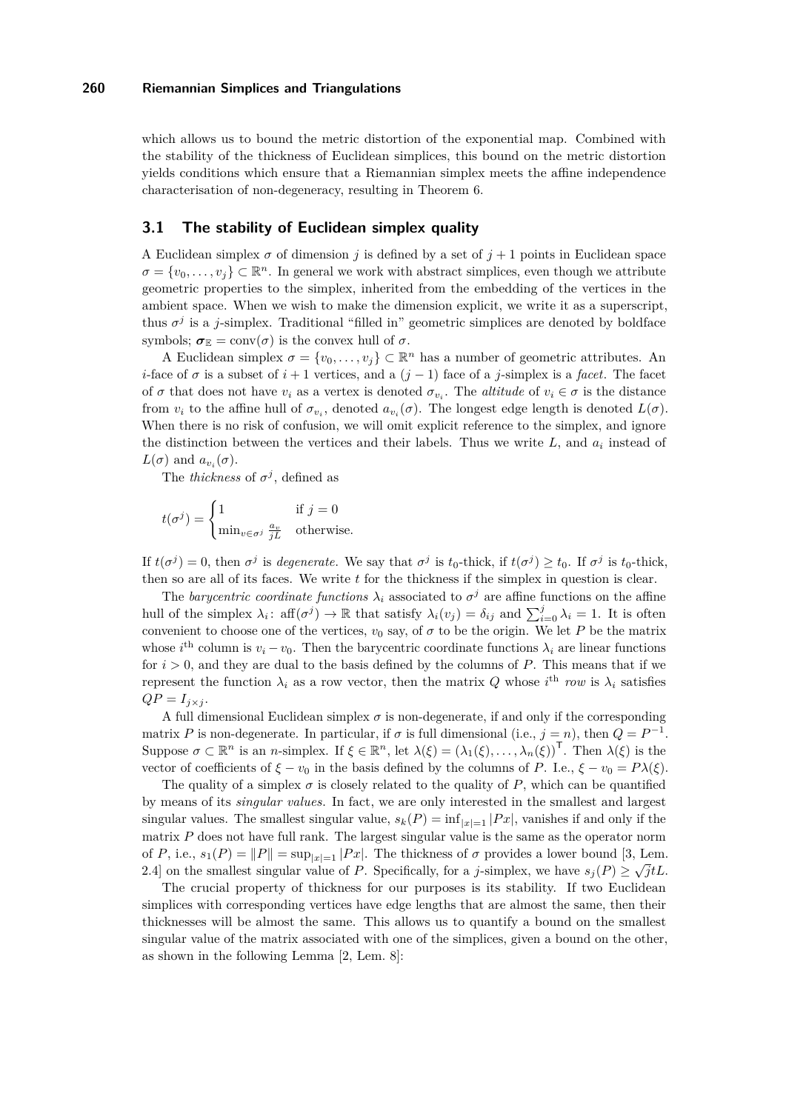which allows us to bound the metric distortion of the exponential map. Combined with the stability of the thickness of Euclidean simplices, this bound on the metric distortion yields conditions which ensure that a Riemannian simplex meets the affine independence characterisation of non-degeneracy, resulting in Theorem [6.](#page-8-0)

## <span id="page-5-0"></span>**3.1 The stability of Euclidean simplex quality**

A Euclidean simplex  $\sigma$  of dimension *j* is defined by a set of  $j + 1$  points in Euclidean space  $\sigma = \{v_0, \ldots, v_j\} \subset \mathbb{R}^n$ . In general we work with abstract simplices, even though we attribute geometric properties to the simplex, inherited from the embedding of the vertices in the ambient space. When we wish to make the dimension explicit, we write it as a superscript, thus  $\sigma^j$  is a *j*-simplex. Traditional "filled in" geometric simplices are denoted by boldface symbols;  $\sigma_{\mathbb{E}} = \text{conv}(\sigma)$  is the convex hull of  $\sigma$ .

A Euclidean simplex  $\sigma = \{v_0, \ldots, v_j\} \subset \mathbb{R}^n$  has a number of geometric attributes. An *i*-face of  $\sigma$  is a subset of *i* + 1 vertices, and a  $(j - 1)$  face of a *j*-simplex is a *facet*. The facet of  $\sigma$  that does not have  $v_i$  as a vertex is denoted  $\sigma_{v_i}$ . The *altitude* of  $v_i \in \sigma$  is the distance from  $v_i$  to the affine hull of  $\sigma_{v_i}$ , denoted  $a_{v_i}(\sigma)$ . The longest edge length is denoted  $L(\sigma)$ . When there is no risk of confusion, we will omit explicit reference to the simplex, and ignore the distinction between the vertices and their labels. Thus we write  $L$ , and  $a_i$  instead of  $L(\sigma)$  and  $a_{v_i}(\sigma)$ .

The *thickness* of  $\sigma^j$ , defined as

$$
t(\sigma^j) = \begin{cases} 1 & \text{if } j = 0\\ \min_{v \in \sigma^j} \frac{a_v}{jL} & \text{otherwise.} \end{cases}
$$

If  $t(\sigma^j) = 0$ , then  $\sigma^j$  is *degenerate*. We say that  $\sigma^j$  is  $t_0$ -thick, if  $t(\sigma^j) \ge t_0$ . If  $\sigma^j$  is  $t_0$ -thick, then so are all of its faces. We write *t* for the thickness if the simplex in question is clear.

The *barycentric coordinate functions*  $\lambda_i$  associated to  $\sigma^j$  are affine functions on the affine hull of the simplex  $\lambda_i$ : aff $(\sigma^j) \to \mathbb{R}$  that satisfy  $\lambda_i(v_j) = \delta_{ij}$  and  $\sum_{i=0}^j \lambda_i = 1$ . It is often convenient to choose one of the vertices,  $v_0$  say, of  $\sigma$  to be the origin. We let *P* be the matrix whose  $i^{\text{th}}$  column is  $v_i - v_0$ . Then the barycentric coordinate functions  $\lambda_i$  are linear functions for  $i > 0$ , and they are dual to the basis defined by the columns of  $P$ . This means that if we represent the function  $\lambda_i$  as a row vector, then the matrix *Q* whose *i*<sup>th</sup> *row* is  $\lambda_i$  satisfies  $QP = I_{i \times i}$ .

A full dimensional Euclidean simplex  $\sigma$  is non-degenerate, if and only if the corresponding matrix *P* is non-degenerate. In particular, if  $\sigma$  is full dimensional (i.e.,  $j = n$ ), then  $Q = P^{-1}$ . Suppose  $\sigma \subset \mathbb{R}^n$  is an *n*-simplex. If  $\xi \in \mathbb{R}^n$ , let  $\lambda(\xi) = (\lambda_1(\xi), \ldots, \lambda_n(\xi))^T$ . Then  $\lambda(\xi)$  is the vector of coefficients of  $\xi - v_0$  in the basis defined by the columns of *P*. I.e.,  $\xi - v_0 = P\lambda(\xi)$ .

The quality of a simplex  $\sigma$  is closely related to the quality of  $P$ , which can be quantified by means of its *singular values*. In fact, we are only interested in the smallest and largest singular values. The smallest singular value,  $s_k(P) = \inf_{|x|=1} |Px|$ , vanishes if and only if the matrix  $P$  does not have full rank. The largest singular value is the same as the operator norm of *P*, i.e.,  $s_1(P) = ||P|| = \sup_{|x|=1} |Px|$ . The thickness of *σ* provides a lower bound [\[3,](#page-13-3) Lem. 2.4] on the smallest singular value of *P*. Specifically, for a *j*-simplex, we have  $s_j(P) \ge \sqrt{jt}L$ .

The crucial property of thickness for our purposes is its stability. If two Euclidean simplices with corresponding vertices have edge lengths that are almost the same, then their thicknesses will be almost the same. This allows us to quantify a bound on the smallest singular value of the matrix associated with one of the simplices, given a bound on the other, as shown in the following Lemma [\[2,](#page-13-1) Lem. 8]: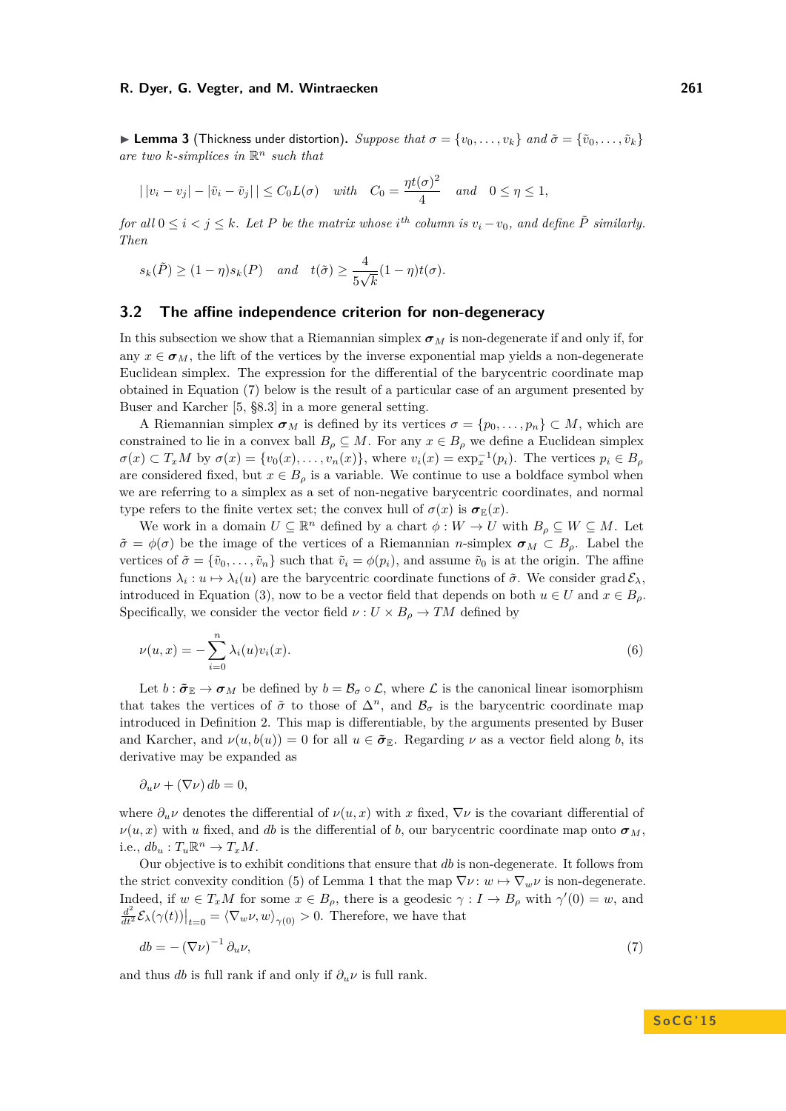<span id="page-6-2"></span>**Examma 3** (Thickness under distortion). *Suppose that*  $\sigma = \{v_0, \ldots, v_k\}$  and  $\tilde{\sigma} = \{\tilde{v}_0, \ldots, \tilde{v}_k\}$ *are two k-simplices in* R *<sup>n</sup> such that*

$$
|\,|v_i - v_j| - |\tilde{v}_i - \tilde{v}_j|\,| \le C_0 L(\sigma) \quad \text{with} \quad C_0 = \frac{\eta t(\sigma)^2}{4} \quad \text{and} \quad 0 \le \eta \le 1,
$$

*for all*  $0 \leq i < j \leq k$ *. Let P be the matrix whose*  $i^{th}$  *column is*  $v_i - v_0$ *, and define*  $\tilde{P}$  *similarly. Then*

$$
s_k(\tilde{P}) \ge (1 - \eta)s_k(P)
$$
 and  $t(\tilde{\sigma}) \ge \frac{4}{5\sqrt{k}}(1 - \eta)t(\sigma).$ 

## **3.2 The affine independence criterion for non-degeneracy**

In this subsection we show that a Riemannian simplex  $\sigma_M$  is non-degenerate if and only if, for any  $x \in \sigma_M$ , the lift of the vertices by the inverse exponential map yields a non-degenerate Euclidean simplex. The expression for the differential of the barycentric coordinate map obtained in Equation [\(7\)](#page-6-0) below is the result of a particular case of an argument presented by Buser and Karcher [\[5,](#page-13-2) §8.3] in a more general setting.

A Riemannian simplex  $\sigma_M$  is defined by its vertices  $\sigma = \{p_0, \ldots, p_n\} \subset M$ , which are constrained to lie in a convex ball  $B_\rho \subseteq M$ . For any  $x \in B_\rho$  we define a Euclidean simplex  $\sigma(x) \subset T_xM$  by  $\sigma(x) = \{v_0(x), \ldots, v_n(x)\}\$ , where  $v_i(x) = \exp_x^{-1}(p_i)$ . The vertices  $p_i \in B_\rho$ are considered fixed, but  $x \in B_\rho$  is a variable. We continue to use a boldface symbol when we are referring to a simplex as a set of non-negative barycentric coordinates, and normal type refers to the finite vertex set; the convex hull of  $\sigma(x)$  is  $\sigma_{\mathbb{R}}(x)$ .

We work in a domain  $U \subseteq \mathbb{R}^n$  defined by a chart  $\phi: W \to U$  with  $B_\rho \subseteq W \subseteq M$ . Let  $\tilde{\sigma} = \phi(\sigma)$  be the image of the vertices of a Riemannian *n*-simplex  $\sigma_M \subset B_\rho$ . Label the vertices of  $\tilde{\sigma} = {\tilde{v}_0, \ldots, \tilde{v}_n}$  such that  $\tilde{v}_i = \phi(p_i)$ , and assume  $\tilde{v}_0$  is at the origin. The affine functions  $\lambda_i: u \mapsto \lambda_i(u)$  are the barycentric coordinate functions of  $\tilde{\sigma}$ . We consider grad  $\mathcal{E}_{\lambda}$ , introduced in Equation [\(3\)](#page-3-2), now to be a vector field that depends on both  $u \in U$  and  $x \in B$ <sub>*ρ*</sub>. Specifically, we consider the vector field  $\nu : U \times B_{\rho} \to TM$  defined by

<span id="page-6-1"></span>
$$
\nu(u,x) = -\sum_{i=0}^{n} \lambda_i(u)v_i(x). \tag{6}
$$

Let  $b : \tilde{\sigma}_{\mathbb{E}} \to \sigma_M$  be defined by  $b = \mathcal{B}_{\sigma} \circ \mathcal{L}$ , where  $\mathcal{L}$  is the canonical linear isomorphism that takes the vertices of  $\tilde{\sigma}$  to those of  $\Delta^n$ , and  $\mathcal{B}_{\sigma}$  is the barycentric coordinate map introduced in Definition [2.](#page-4-0) This map is differentiable, by the arguments presented by Buser and Karcher, and  $\nu(u, b(u)) = 0$  for all  $u \in \tilde{\sigma}_{\mathbb{E}}$ . Regarding  $\nu$  as a vector field along *b*, its derivative may be expanded as

$$
\partial_u \nu + (\nabla \nu) \, db = 0,
$$

where  $\partial_u \nu$  denotes the differential of  $\nu(u, x)$  with *x* fixed,  $\nabla \nu$  is the covariant differential of  $\nu(u, x)$  with *u* fixed, and *db* is the differential of *b*, our barycentric coordinate map onto  $\sigma_M$ . i.e.,  $db_u : T_u \mathbb{R}^n \to T_x M$ .

Our objective is to exhibit conditions that ensure that *db* is non-degenerate. It follows from the strict convexity condition [\(5\)](#page-3-4) of Lemma [1](#page-3-3) that the map  $\nabla \nu : w \mapsto \nabla_w \nu$  is non-degenerate. Indeed, if  $w \in T_xM$  for some  $x \in B_\rho$ , there is a geodesic  $\gamma : I \to B_\rho$  with  $\gamma'(0) = w$ , and  $\frac{d^2}{dt^2} \mathcal{E}_{\lambda}(\gamma(t))\big|_{t=0} = \langle \nabla_w \nu, w \rangle_{\gamma(0)} > 0.$  Therefore, we have that

<span id="page-6-0"></span>
$$
db = -(\nabla \nu)^{-1} \partial_u \nu,\tag{7}
$$

and thus *db* is full rank if and only if  $\partial_{\nu} \nu$  is full rank.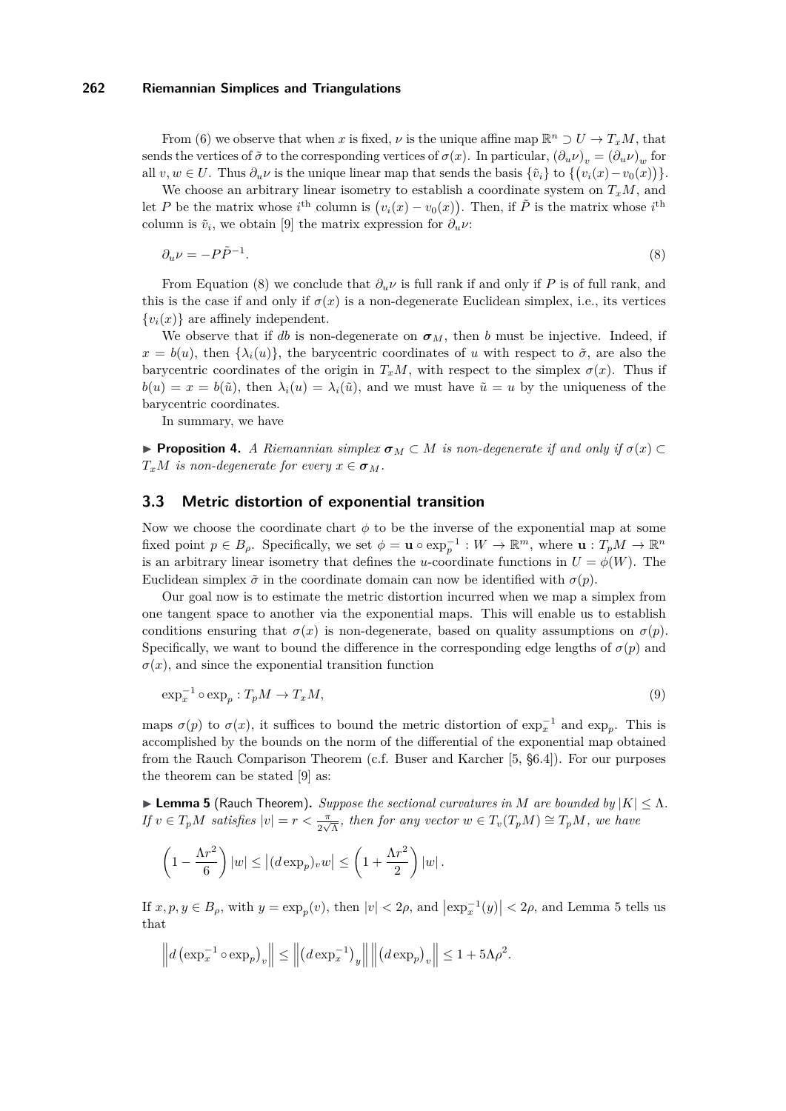From [\(6\)](#page-6-1) we observe that when *x* is fixed, *v* is the unique affine map  $\mathbb{R}^n \supset U \to T_xM$ , that sends the vertices of  $\tilde{\sigma}$  to the corresponding vertices of  $\sigma(x)$ . In particular,  $(\partial_u \nu)_v = (\partial_u \nu)_w$  for all  $v, w \in U$ . Thus  $\partial_u \nu$  is the unique linear map that sends the basis  $\{\tilde{v}_i\}$  to  $\{(v_i(x) - v_0(x))\}$ .

We choose an arbitrary linear isometry to establish a coordinate system on  $T_xM$ , and let *P* be the matrix whose  $i^{\text{th}}$  column is  $(v_i(x) - v_0(x))$ . Then, if  $\tilde{P}$  is the matrix whose  $i^{\text{th}}$ column is  $\tilde{v}_i$ , we obtain [\[9\]](#page-14-0) the matrix expression for  $\partial_u v$ :

<span id="page-7-1"></span>
$$
\partial_u \nu = -P\tilde{P}^{-1}.\tag{8}
$$

From Equation [\(8\)](#page-7-1) we conclude that  $\partial_\nu \nu$  is full rank if and only if *P* is of full rank, and this is the case if and only if  $\sigma(x)$  is a non-degenerate Euclidean simplex, i.e., its vertices  ${v_i(x)}$  are affinely independent.

We observe that if *db* is non-degenerate on  $\sigma_M$ , then *b* must be injective. Indeed, if  $x = b(u)$ , then  $\{\lambda_i(u)\}\$ , the barycentric coordinates of *u* with respect to  $\tilde{\sigma}$ , are also the barycentric coordinates of the origin in  $T_xM$ , with respect to the simplex  $\sigma(x)$ . Thus if  $b(u) = x = b(\tilde{u})$ , then  $\lambda_i(u) = \lambda_i(\tilde{u})$ , and we must have  $\tilde{u} = u$  by the uniqueness of the barycentric coordinates.

In summary, we have

<span id="page-7-0"></span> $\triangleright$  **Proposition 4.** *A Riemannian simplex*  $\sigma$ <sub>*M*</sub> ⊂ *M is non-degenerate if and only if*  $\sigma$ (*x*) ⊂  $T_xM$  *is non-degenerate for every*  $x \in \sigma_M$ .

## **3.3 Metric distortion of exponential transition**

Now we choose the coordinate chart  $\phi$  to be the inverse of the exponential map at some fixed point  $p \in B_\rho$ . Specifically, we set  $\phi = \mathbf{u} \circ \exp_p^{-1} : W \to \mathbb{R}^m$ , where  $\mathbf{u} : T_pM \to \mathbb{R}^n$ is an arbitrary linear isometry that defines the *u*-coordinate functions in  $U = \phi(W)$ . The Euclidean simplex  $\tilde{\sigma}$  in the coordinate domain can now be identified with  $\sigma(p)$ .

Our goal now is to estimate the metric distortion incurred when we map a simplex from one tangent space to another via the exponential maps. This will enable us to establish conditions ensuring that  $\sigma(x)$  is non-degenerate, based on quality assumptions on  $\sigma(p)$ . Specifically, we want to bound the difference in the corresponding edge lengths of  $\sigma(p)$  and  $\sigma(x)$ , and since the exponential transition function

$$
\exp_x^{-1} \circ \exp_p: T_p M \to T_x M,\tag{9}
$$

maps  $\sigma(p)$  to  $\sigma(x)$ , it suffices to bound the metric distortion of  $\exp_x^{-1}$  and  $\exp_p$ . This is accomplished by the bounds on the norm of the differential of the exponential map obtained from the Rauch Comparison Theorem (c.f. Buser and Karcher [\[5,](#page-13-2) §6.4]). For our purposes the theorem can be stated [\[9\]](#page-14-0) as:

<span id="page-7-2"></span>**I Lemma 5** (Rauch Theorem). *Suppose the sectional curvatures in M* are bounded by  $|K| \leq \Lambda$ . If  $v \in T_pM$  satisfies  $|v| = r < \frac{\pi}{2\sqrt{\Lambda}}$ , then for any vector  $w \in T_v(T_pM) \cong T_pM$ , we have

$$
\left(1 - \frac{\Lambda r^2}{6}\right)|w| \le |(d \exp_p)_v w| \le \left(1 + \frac{\Lambda r^2}{2}\right)|w|.
$$

If  $x, p, y \in B_\rho$ , with  $y = \exp_p(v)$ , then  $|v| < 2\rho$ , and  $|\exp_x^{-1}(y)| < 2\rho$ , and Lemma [5](#page-7-2) tells us that

$$
\left\| d \left( \exp_x^{-1} \circ \exp_p \right)_v \right\| \le \left\| \left( d \exp_x^{-1} \right)_y \right\| \left\| \left( d \exp_p \right)_v \right\| \le 1 + 5\Lambda \rho^2.
$$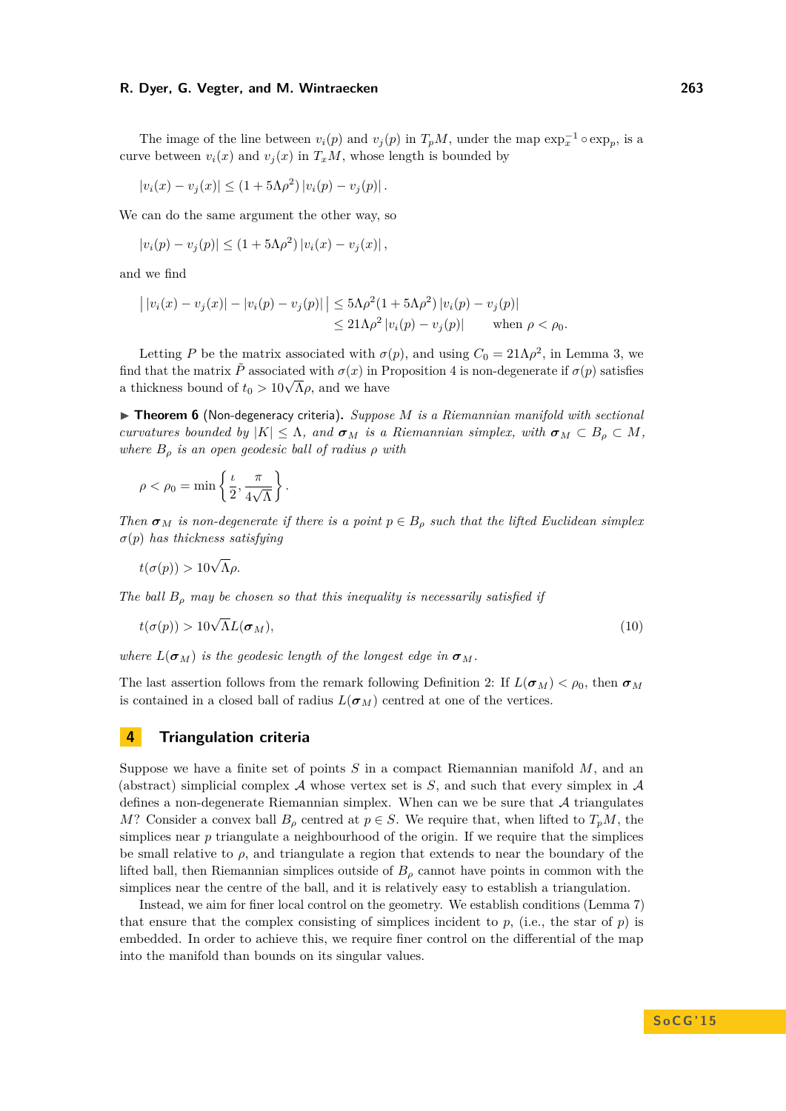The image of the line between  $v_i(p)$  and  $v_j(p)$  in  $T_pM$ , under the map  $\exp_x^{-1} \circ \exp_p$ , is a curve between  $v_i(x)$  and  $v_j(x)$  in  $T_xM$ , whose length is bounded by

$$
|v_i(x) - v_j(x)| \le (1 + 5\Lambda \rho^2) |v_i(p) - v_j(p)|.
$$

We can do the same argument the other way, so

$$
|v_i(p) - v_j(p)| \le (1 + 5\Lambda \rho^2) |v_i(x) - v_j(x)|,
$$

and we find

$$
\left| |v_i(x) - v_j(x)| - |v_i(p) - v_j(p)| \right| \le 5\Lambda \rho^2 (1 + 5\Lambda \rho^2) |v_i(p) - v_j(p)|
$$
  

$$
\le 21\Lambda \rho^2 |v_i(p) - v_j(p)| \quad \text{when } \rho < \rho_0.
$$

Letting *P* be the matrix associated with  $\sigma(p)$ , and using  $C_0 = 21 \Lambda \rho^2$ , in Lemma [3,](#page-6-2) we find that the matrix  $\tilde{P}$  associated with  $\sigma(x)$  in Proposition [4](#page-7-0) is non-degenerate if  $\sigma(p)$  satisfies a thickness bound of  $t_0 > 10\sqrt{\Lambda} \rho$ , and we have

<span id="page-8-0"></span>▶ **Theorem 6** (Non-degeneracy criteria). *Suppose M is a Riemannian manifold with sectional curvatures bounded by*  $|K| \leq \Lambda$ , and  $\sigma_M$  is a Riemannian simplex, with  $\sigma_M \subset B_\rho \subset M$ , *where*  $B_\rho$  *is an open geodesic ball of radius*  $\rho$  *with* 

$$
\rho < \rho_0 = \min\left\{\frac{\iota}{2}, \frac{\pi}{4\sqrt{\Lambda}}\right\}.
$$

*Then*  $\sigma_M$  *is non-degenerate if there is a point*  $p \in B_\rho$  *such that the lifted Euclidean simplex σ*(*p*) *has thickness satisfying*

$$
t(\sigma(p)) > 10\sqrt{\Lambda}\rho.
$$

*The ball*  $B_\rho$  *may be chosen so that this inequality is necessarily satisfied if* 

$$
t(\sigma(p)) > 10\sqrt{\Lambda}L(\sigma_M),\tag{10}
$$

*where*  $L(\boldsymbol{\sigma}_M)$  *is the geodesic length of the longest edge in*  $\boldsymbol{\sigma}_M$ *.* 

The last assertion follows from the remark following Definition [2:](#page-4-0) If  $L(\sigma_M) < \rho_0$ , then  $\sigma_M$ is contained in a closed ball of radius  $L(\sigma_M)$  centred at one of the vertices.

## <span id="page-8-1"></span>**4 Triangulation criteria**

Suppose we have a finite set of points *S* in a compact Riemannian manifold *M*, and an (abstract) simplicial complex  $A$  whose vertex set is  $S$ , and such that every simplex in  $A$ defines a non-degenerate Riemannian simplex. When can we be sure that  $A$  triangulates *M*? Consider a convex ball  $B_\rho$  centred at  $p \in S$ . We require that, when lifted to  $T_pM$ , the simplices near *p* triangulate a neighbourhood of the origin. If we require that the simplices be small relative to  $\rho$ , and triangulate a region that extends to near the boundary of the lifted ball, then Riemannian simplices outside of  $B_\rho$  cannot have points in common with the simplices near the centre of the ball, and it is relatively easy to establish a triangulation.

Instead, we aim for finer local control on the geometry. We establish conditions (Lemma [7\)](#page-9-0) that ensure that the complex consisting of simplices incident to  $p$ , (i.e., the star of  $p$ ) is embedded. In order to achieve this, we require finer control on the differential of the map into the manifold than bounds on its singular values.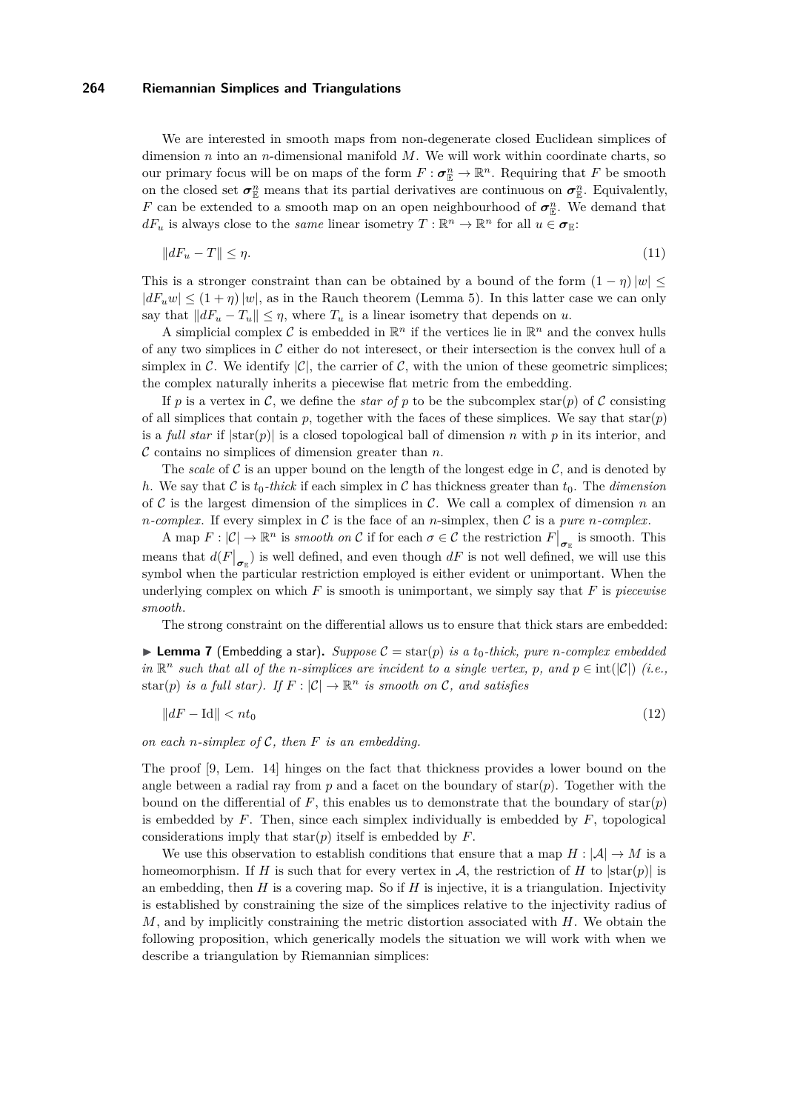We are interested in smooth maps from non-degenerate closed Euclidean simplices of dimension *n* into an *n*-dimensional manifold *M*. We will work within coordinate charts, so our primary focus will be on maps of the form  $F: \sigma_{\mathbb{E}}^n \to \mathbb{R}^n$ . Requiring that F be smooth on the closed set  $\sigma_{\mathbb{E}}^n$  means that its partial derivatives are continuous on  $\sigma_{\mathbb{E}}^n$ . Equivalently, *F* can be extended to a smooth map on an open neighbourhood of  $\sigma_{\mathbb{E}}^n$ . We demand that  $dF_u$  is always close to the *same* linear isometry  $T : \mathbb{R}^n \to \mathbb{R}^n$  for all  $u \in \sigma_{\mathbb{E}}$ :

<span id="page-9-1"></span>
$$
||dF_u - T|| \le \eta. \tag{11}
$$

This is a stronger constraint than can be obtained by a bound of the form  $(1 - \eta) |w| \leq$  $|dF_u w| \leq (1 + \eta) |w|$ , as in the Rauch theorem (Lemma [5\)](#page-7-2). In this latter case we can only say that  $||dF_u - T_u|| \leq \eta$ , where  $T_u$  is a linear isometry that depends on *u*.

A simplicial complex  $\mathcal C$  is embedded in  $\mathbb R^n$  if the vertices lie in  $\mathbb R^n$  and the convex hulls of any two simplices in  $\mathcal C$  either do not interesect, or their intersection is the convex hull of a simplex in C. We identify  $|\mathcal{C}|$ , the carrier of C, with the union of these geometric simplices; the complex naturally inherits a piecewise flat metric from the embedding.

If p is a vertex in C, we define the *star of* p to be the subcomplex  $star(p)$  of C consisting of all simplices that contain *p*, together with the faces of these simplices. We say that  $star(p)$ is a *full star* if  $|\text{star}(p)|$  is a closed topological ball of dimension *n* with *p* in its interior, and C contains no simplices of dimension greater than *n*.

The *scale* of  $\mathcal C$  is an upper bound on the length of the longest edge in  $\mathcal C$ , and is denoted by *h*. We say that C is  $t_0$ -thick if each simplex in C has thickness greater than  $t_0$ . The *dimension* of C is the largest dimension of the simplices in C. We call a complex of dimension  $n$  and *n*-complex. If every simplex in C is the face of an *n*-simplex, then C is a *pure n*-complex.

A map  $F: |\mathcal{C}| \to \mathbb{R}^n$  is *smooth on* C if for each  $\sigma \in \mathcal{C}$  the restriction  $F|_{\sigma_{\mathbb{E}}}$  is smooth. This means that  $d(F|_{\sigma_{\mathbb{E}}})$  is well defined, and even though  $dF$  is not well defined, we will use this symbol when the particular restriction employed is either evident or unimportant. When the underlying complex on which *F* is smooth is unimportant, we simply say that *F* is *piecewise smooth*.

The strong constraint on the differential allows us to ensure that thick stars are embedded:

<span id="page-9-0"></span> $\blacktriangleright$  **Lemma 7** (Embedding a star). *Suppose*  $C = \text{star}(p)$  *is a t*<sub>0</sub>*-thick, pure n-complex embedded in*  $\mathbb{R}^n$  *such that all of the n-simplices are incident to a single vertex, p, and*  $p \in \text{int}(|\mathcal{C}|)$  *(i.e.,*  $\text{star}(p)$  *is a full star).* If  $F: |\mathcal{C}| \to \mathbb{R}^n$  *is smooth on*  $\mathcal{C}$ *, and satisfies* 

$$
\|dF - \mathrm{Id}\| < nt_0 \tag{12}
$$

*on each n-simplex of* C*, then F is an embedding.*

The proof [\[9,](#page-14-0) Lem. 14] hinges on the fact that thickness provides a lower bound on the angle between a radial ray from  $p$  and a facet on the boundary of  $star(p)$ . Together with the bound on the differential of  $F$ , this enables us to demonstrate that the boundary of  $star(p)$ is embedded by  $F$ . Then, since each simplex individually is embedded by  $F$ , topological considerations imply that  $star(p)$  itself is embedded by  $F$ .

We use this observation to establish conditions that ensure that a map  $H : |\mathcal{A}| \to M$  is a homeomorphism. If *H* is such that for every vertex in *A*, the restriction of *H* to  $|\text{star}(p)|$  is an embedding, then  $H$  is a covering map. So if  $H$  is injective, it is a triangulation. Injectivity is established by constraining the size of the simplices relative to the injectivity radius of *M*, and by implicitly constraining the metric distortion associated with *H*. We obtain the following proposition, which generically models the situation we will work with when we describe a triangulation by Riemannian simplices: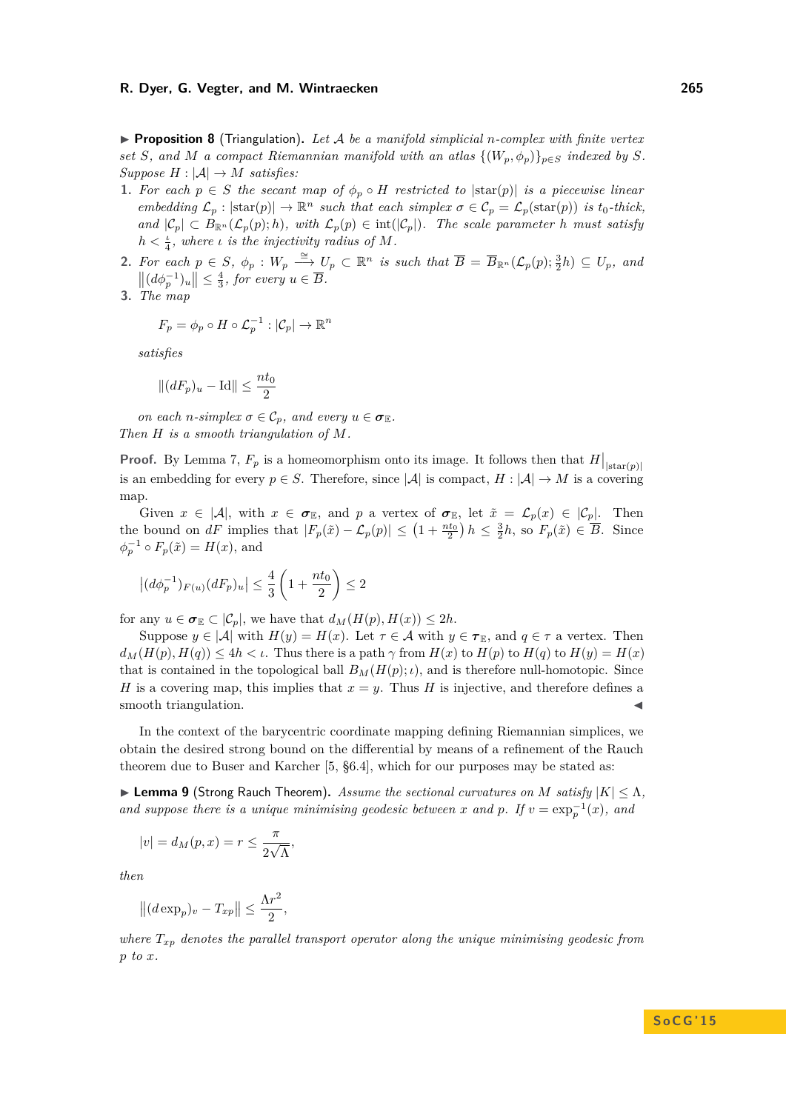<span id="page-10-0"></span>▶ **Proposition 8** (Triangulation). Let A be a manifold simplicial *n*-complex with finite vertex *set S, and M a compact Riemannian manifold with an atlas*  $\{(W_p, \phi_p)\}_{p \in S}$  *indexed by S. Suppose*  $H : |\mathcal{A}| \to M$  *satisfies:* 

- **1.** For each  $p \in S$  the secant map of  $\phi_p \circ H$  restricted to  $|\text{star}(p)|$  is a piecewise linear *embedding*  $\mathcal{L}_p$ :  $|\text{star}(p)| \to \mathbb{R}^n$  *such that each simplex*  $\sigma \in \mathcal{C}_p = \mathcal{L}_p(\text{star}(p))$  *is*  $t_0$ -thick, *and*  $|C_p|$  ⊂  $B_{\mathbb{R}^n}(\mathcal{L}_p(p); h)$ *, with*  $\mathcal{L}_p(p)$  ∈ int( $|C_p|$ )*. The scale parameter h must satisfy*  $h < \frac{\iota}{4}$ , where *ι is the injectivity radius of M.*
- 2. For each  $p \in S$ ,  $\phi_p : W_p \stackrel{\cong}{\longrightarrow} U_p \subset \mathbb{R}^n$  is such that  $\overline{B} = \overline{B}_{\mathbb{R}^n}(\mathcal{L}_p(p); \frac{3}{2}h) \subseteq U_p$ , and  $||(d\phi_p^{-1})_u|| \leq \frac{4}{3}$ , for every  $u \in \overline{B}$ .
- **3.** *The map*

$$
F_p = \phi_p \circ H \circ \mathcal{L}_p^{-1} : |\mathcal{C}_p| \to \mathbb{R}^n
$$

*satisfies*

$$
||(dF_p)_u - \text{Id}|| \le \frac{nt_0}{2}
$$

*on each n-simplex*  $\sigma \in \mathcal{C}_p$ *, and every*  $u \in \sigma_{\mathbb{E}}$ *. Then H is a smooth triangulation of M.*

**Proof.** By Lemma [7,](#page-9-0)  $F_p$  is a homeomorphism onto its image. It follows then that  $H|_{|\text{star}(p)|}$ is an embedding for every  $p \in S$ . Therefore, since  $|\mathcal{A}|$  is compact,  $H : |\mathcal{A}| \to M$  is a covering map.

Given  $x \in |\mathcal{A}|$ , with  $x \in \sigma_{\mathbb{E}}$ , and  $p$  a vertex of  $\sigma_{\mathbb{E}}$ , let  $\tilde{x} = \mathcal{L}_p(x) \in |\mathcal{C}_p|$ . Then the bound on *dF* implies that  $|F_p(\tilde{x}) - \mathcal{L}_p(p)| \leq (1 + \frac{nt_0}{2}) h \leq \frac{3}{2}h$ , so  $F_p(\tilde{x}) \in \overline{B}$ . Since  $\phi_p^{-1} \circ F_p(\tilde{x}) = H(x)$ , and

$$
|(d\phi_p^{-1})_{F(u)}(dF_p)_u| \le \frac{4}{3} \left(1 + \frac{nt_0}{2}\right) \le 2
$$

for any  $u \in \sigma_{\mathbb{E}} \subset |\mathcal{C}_p|$ , we have that  $d_M(H(p), H(x)) \leq 2h$ .

Suppose  $y \in |\mathcal{A}|$  with  $H(y) = H(x)$ . Let  $\tau \in \mathcal{A}$  with  $y \in \tau_{\mathbb{E}}$ , and  $q \in \tau$  a vertex. Then  $d_M(H(p), H(q)) \leq 4h < \iota$ . Thus there is a path  $\gamma$  from  $H(x)$  to  $H(p)$  to  $H(q)$  to  $H(y) = H(x)$ that is contained in the topological ball  $B_M(H(p); \iota)$ , and is therefore null-homotopic. Since *H* is a covering map, this implies that  $x = y$ . Thus *H* is injective, and therefore defines a smooth triangulation.

In the context of the barycentric coordinate mapping defining Riemannian simplices, we obtain the desired strong bound on the differential by means of a refinement of the Rauch theorem due to Buser and Karcher [\[5,](#page-13-2) §6.4], which for our purposes may be stated as:

<span id="page-10-1"></span>**I Lemma 9** (Strong Rauch Theorem). *Assume the sectional curvatures on M* satisfy  $|K| \leq \Lambda$ , *and suppose there is a unique minimising geodesic between x* and *p*. If  $v = \exp_p^{-1}(x)$ , and

$$
|v| = d_M(p, x) = r \le \frac{\pi}{2\sqrt{\Lambda}},
$$

*then*

$$
||(d\exp_p)_v - T_{xp}|| \le \frac{\Lambda r^2}{2},
$$

*where Txp denotes the parallel transport operator along the unique minimising geodesic from p to x.*

#### **S o C G ' 1 5**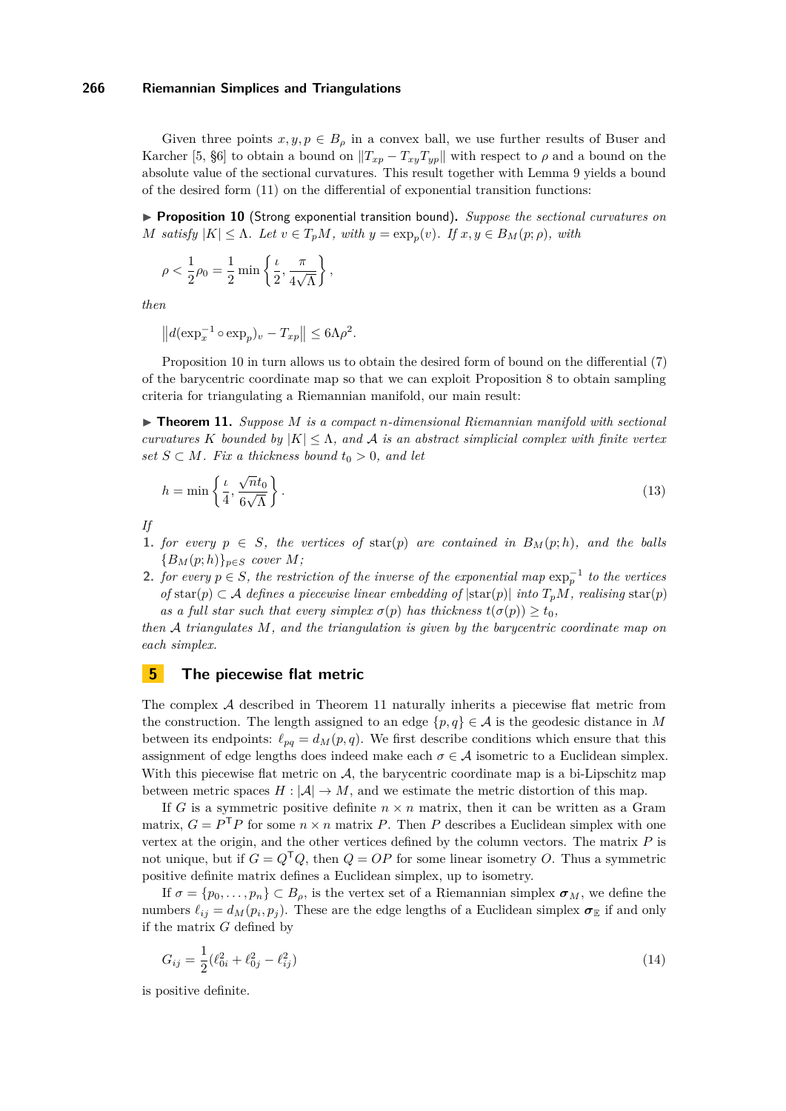Given three points  $x, y, p \in B_\rho$  in a convex ball, we use further results of Buser and Karcher [\[5,](#page-13-2) §6] to obtain a bound on  $||T_{xp} - T_{xy}T_{yp}||$  with respect to  $\rho$  and a bound on the absolute value of the sectional curvatures. This result together with Lemma [9](#page-10-1) yields a bound of the desired form [\(11\)](#page-9-1) on the differential of exponential transition functions:

<span id="page-11-2"></span>I **Proposition 10** (Strong exponential transition bound)**.** *Suppose the sectional curvatures on M satisfy*  $|K| \leq \Lambda$ *. Let*  $v \in T_pM$ *, with*  $y = \exp_p(v)$ *. If*  $x, y \in B_M(p; \rho)$ *, with* 

$$
\rho < \frac{1}{2}\rho_0 = \frac{1}{2}\min\left\{\frac{\iota}{2}, \frac{\pi}{4\sqrt{\Lambda}}\right\},\,
$$

*then*

$$
||d(\exp_x^{-1} \circ \exp_p)_v - T_{xp}|| \leq 6\Lambda\rho^2.
$$

Proposition [10](#page-11-2) in turn allows us to obtain the desired form of bound on the differential [\(7\)](#page-6-0) of the barycentric coordinate map so that we can exploit Proposition [8](#page-10-0) to obtain sampling criteria for triangulating a Riemannian manifold, our main result:

<span id="page-11-0"></span>I **Theorem 11.** *Suppose M is a compact n-dimensional Riemannian manifold with sectional curvatures K bounded by*  $|K| \leq \Lambda$ , and *A is an abstract simplicial complex with finite vertex set S* ⊂ *M. Fix a thickness bound*  $t_0$  > 0*, and let* 

<span id="page-11-3"></span>
$$
h = \min\left\{\frac{\iota}{4}, \frac{\sqrt{n}t_0}{6\sqrt{\Lambda}}\right\}.
$$
\n(13)

*If*

- **1.** *for every*  $p \in S$ *, the vertices of* star(*p*) *are contained in*  $B_M(p; h)$ *, and the balls*  ${B_M(p; h)}_{p \in S}$  *cover M;*
- **2.** *for every*  $p \in S$ *, the restriction of the inverse of the exponential map*  $\exp_p^{-1}$  *to the vertices of* star(*p*) ⊂ A *defines a piecewise linear embedding of*  $|\text{star}(p)|$  *into*  $T_pM$ *, realising* star(*p*) *as a full star such that every simplex*  $\sigma(p)$  *has thickness*  $t(\sigma(p)) \geq t_0$ *,*

*then* A *triangulates M, and the triangulation is given by the barycentric coordinate map on each simplex.*

# <span id="page-11-1"></span>**5 The piecewise flat metric**

The complex  $A$  described in Theorem [11](#page-11-0) naturally inherits a piecewise flat metric from the construction. The length assigned to an edge  $\{p,q\} \in \mathcal{A}$  is the geodesic distance in M between its endpoints:  $\ell_{pq} = d_M(p, q)$ . We first describe conditions which ensure that this assignment of edge lengths does indeed make each  $\sigma \in \mathcal{A}$  isometric to a Euclidean simplex. With this piecewise flat metric on  $\mathcal{A}$ , the barycentric coordinate map is a bi-Lipschitz map between metric spaces  $H : |\mathcal{A}| \to M$ , and we estimate the metric distortion of this map.

If *G* is a symmetric positive definite  $n \times n$  matrix, then it can be written as a Gram matrix,  $G = P<sup>T</sup>P$  for some  $n \times n$  matrix *P*. Then *P* describes a Euclidean simplex with one vertex at the origin, and the other vertices defined by the column vectors. The matrix *P* is not unique, but if  $G = Q^T Q$ , then  $Q = OP$  for some linear isometry *O*. Thus a symmetric positive definite matrix defines a Euclidean simplex, up to isometry.

If  $\sigma = \{p_0, \ldots, p_n\} \subset B_\rho$ , is the vertex set of a Riemannian simplex  $\sigma_M$ , we define the numbers  $\ell_{ij} = d_M(p_i, p_j)$ . These are the edge lengths of a Euclidean simplex  $\sigma_{\mathbb{E}}$  if and only if the matrix *G* defined by

$$
G_{ij} = \frac{1}{2} (\ell_{0i}^2 + \ell_{0j}^2 - \ell_{ij}^2)
$$
\n(14)

is positive definite.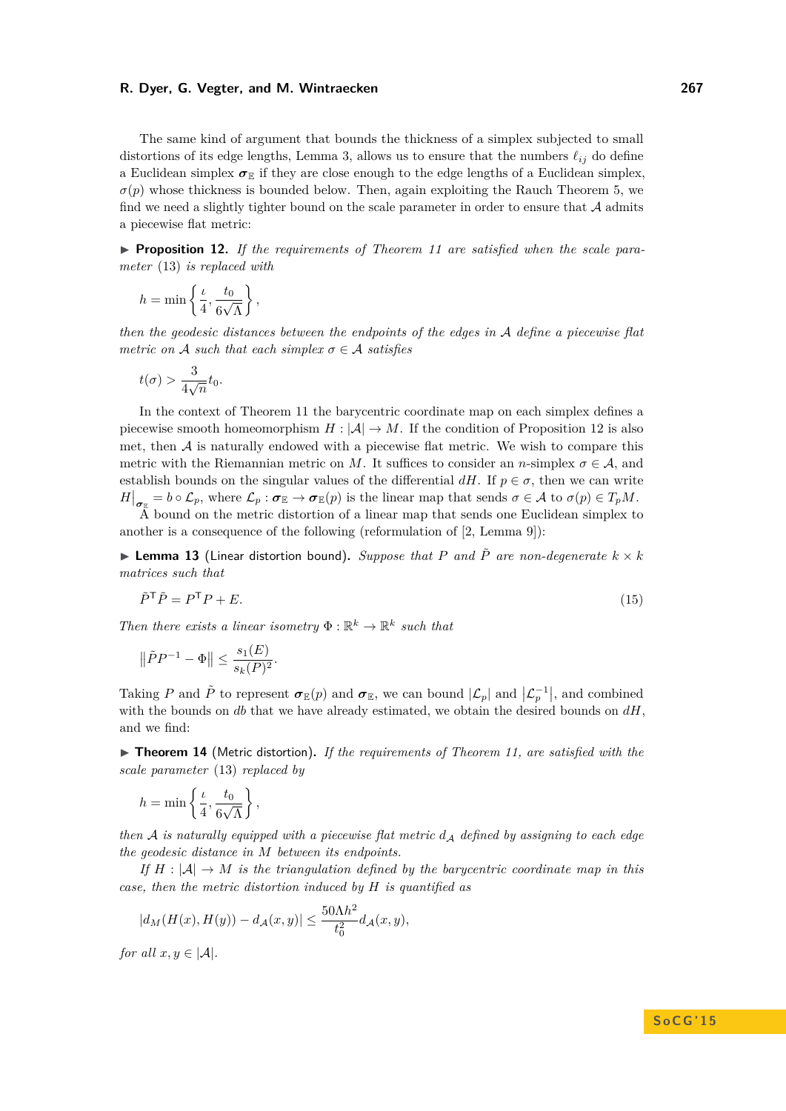The same kind of argument that bounds the thickness of a simplex subjected to small distortions of its edge lengths, Lemma [3,](#page-6-2) allows us to ensure that the numbers  $\ell_{ij}$  do define a Euclidean simplex  $\sigma_{\mathbb{R}}$  if they are close enough to the edge lengths of a Euclidean simplex,  $\sigma(p)$  whose thickness is bounded below. Then, again exploiting the Rauch Theorem [5,](#page-7-2) we find we need a slightly tighter bound on the scale parameter in order to ensure that  $A$  admits a piecewise flat metric:

<span id="page-12-1"></span>▶ **Proposition 12.** *If the requirements of Theorem [11](#page-11-0) are satisfied when the scale parameter* [\(13\)](#page-11-3) *is replaced with*

$$
h = \min\left\{\frac{\iota}{4}, \frac{t_0}{6\sqrt{\Lambda}}\right\},\,
$$

*then the geodesic distances between the endpoints of the edges in* A *define a piecewise flat metric on* A *such that each simplex*  $\sigma \in A$  *satisfies* 

$$
t(\sigma) > \frac{3}{4\sqrt{n}}t_0.
$$

In the context of Theorem [11](#page-11-0) the barycentric coordinate map on each simplex defines a piecewise smooth homeomorphism  $H : |\mathcal{A}| \to M$ . If the condition of Proposition [12](#page-12-1) is also met, then  $A$  is naturally endowed with a piecewise flat metric. We wish to compare this metric with the Riemannian metric on *M*. It suffices to consider an *n*-simplex  $\sigma \in A$ , and establish bounds on the singular values of the differential  $dH$ . If  $p \in \sigma$ , then we can write  $H|_{\sigma_E} = b \circ \mathcal{L}_p$ , where  $\mathcal{L}_p : \sigma_E \to \sigma_E(p)$  is the linear map that sends  $\sigma \in \mathcal{A}$  to  $\sigma(p) \in T_pM$ .

 $\tilde{A}$  bound on the metric distortion of a linear map that sends one Euclidean simplex to another is a consequence of the following (reformulation of [\[2,](#page-13-1) Lemma 9]):

 $\blacktriangleright$  **Lemma 13** (Linear distortion bound). Suppose that P and  $\tilde{P}$  are non-degenerate  $k \times k$ *matrices such that*

$$
\tilde{P}^{\mathsf{T}}\tilde{P} = P^{\mathsf{T}}P + E. \tag{15}
$$

*Then there exists a linear isometry*  $\Phi : \mathbb{R}^k \to \mathbb{R}^k$  such that

$$
\|\tilde{P}P^{-1} - \Phi\| \le \frac{s_1(E)}{s_k(P)^2}.
$$

Taking *P* and  $\tilde{P}$  to represent  $\sigma_{\mathbb{E}}(p)$  and  $\sigma_{\mathbb{E}}$ , we can bound  $|\mathcal{L}_p|$  and  $|\mathcal{L}_p^{-1}|$ , and combined with the bounds on *db* that we have already estimated, we obtain the desired bounds on *dH*, and we find:

<span id="page-12-0"></span>▶ **Theorem 14** (Metric distortion). If the requirements of Theorem [11,](#page-11-0) are satisfied with the *scale parameter* [\(13\)](#page-11-3) *replaced by*

$$
h=\min\left\{\frac{\iota}{4},\frac{t_0}{6\sqrt{\Lambda}}\right\},
$$

*then*  $A$  *is naturally equipped with a piecewise flat metric*  $d_A$  *defined by assigning to each edge the geodesic distance in M between its endpoints.*

*If*  $H : |A| \rightarrow M$  *is the triangulation defined by the barycentric coordinate map in this case, then the metric distortion induced by H is quantified as*

$$
|d_M(H(x), H(y)) - d_{\mathcal{A}}(x, y)| \le \frac{50\Lambda h^2}{t_0^2} d_{\mathcal{A}}(x, y),
$$

*for all*  $x, y \in |A|$ *.*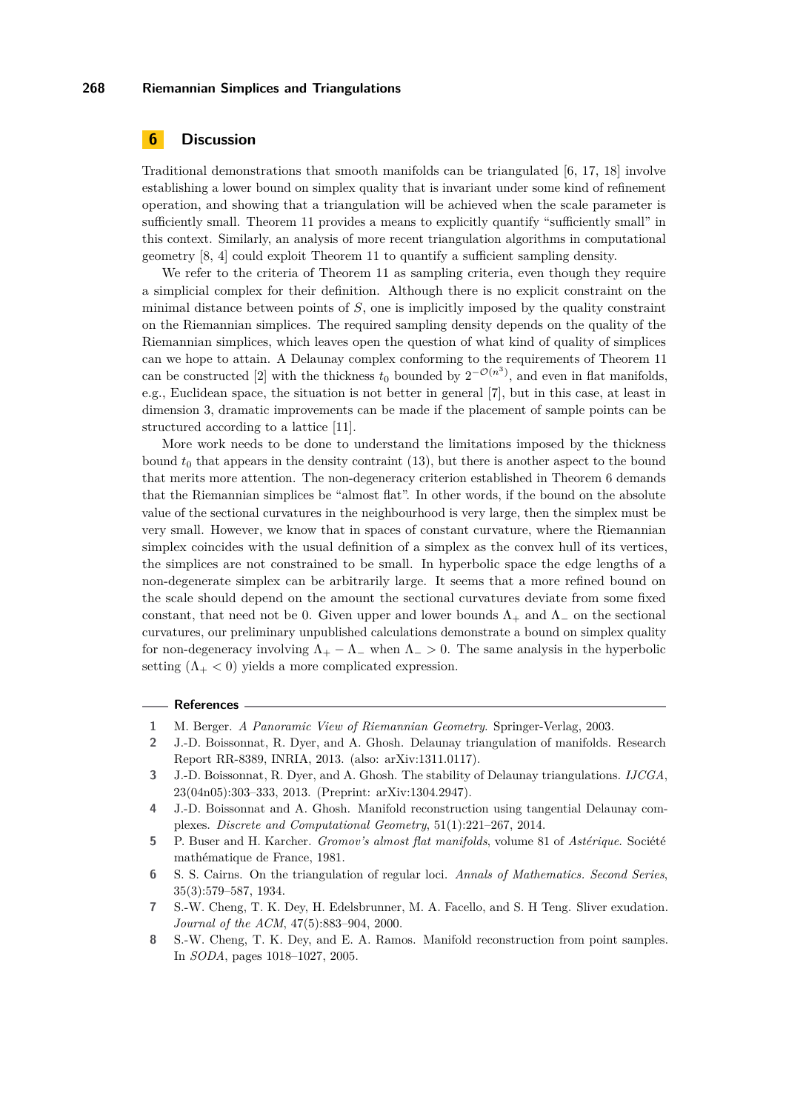# **6 Discussion**

Traditional demonstrations that smooth manifolds can be triangulated [\[6,](#page-13-4) [17,](#page-14-8) [18\]](#page-14-9) involve establishing a lower bound on simplex quality that is invariant under some kind of refinement operation, and showing that a triangulation will be achieved when the scale parameter is sufficiently small. Theorem [11](#page-11-0) provides a means to explicitly quantify "sufficiently small" in this context. Similarly, an analysis of more recent triangulation algorithms in computational geometry [\[8,](#page-13-5) [4\]](#page-13-6) could exploit Theorem [11](#page-11-0) to quantify a sufficient sampling density.

We refer to the criteria of Theorem [11](#page-11-0) as sampling criteria, even though they require a simplicial complex for their definition. Although there is no explicit constraint on the minimal distance between points of *S*, one is implicitly imposed by the quality constraint on the Riemannian simplices. The required sampling density depends on the quality of the Riemannian simplices, which leaves open the question of what kind of quality of simplices can we hope to attain. A Delaunay complex conforming to the requirements of Theorem [11](#page-11-0) can be constructed [\[2\]](#page-13-1) with the thickness  $t_0$  bounded by  $2^{-\mathcal{O}(n^3)}$ , and even in flat manifolds, e.g., Euclidean space, the situation is not better in general [\[7\]](#page-13-7), but in this case, at least in dimension 3, dramatic improvements can be made if the placement of sample points can be structured according to a lattice [\[11\]](#page-14-10).

More work needs to be done to understand the limitations imposed by the thickness bound  $t_0$  that appears in the density contraint  $(13)$ , but there is another aspect to the bound that merits more attention. The non-degeneracy criterion established in Theorem [6](#page-8-0) demands that the Riemannian simplices be "almost flat". In other words, if the bound on the absolute value of the sectional curvatures in the neighbourhood is very large, then the simplex must be very small. However, we know that in spaces of constant curvature, where the Riemannian simplex coincides with the usual definition of a simplex as the convex hull of its vertices, the simplices are not constrained to be small. In hyperbolic space the edge lengths of a non-degenerate simplex can be arbitrarily large. It seems that a more refined bound on the scale should depend on the amount the sectional curvatures deviate from some fixed constant, that need not be 0. Given upper and lower bounds  $\Lambda_+$  and  $\Lambda_-$  on the sectional curvatures, our preliminary unpublished calculations demonstrate a bound on simplex quality for non-degeneracy involving  $\Lambda_{+} - \Lambda_{-}$  when  $\Lambda_{-} > 0$ . The same analysis in the hyperbolic setting  $(\Lambda_{+} < 0)$  yields a more complicated expression.

#### **References**

- <span id="page-13-0"></span>**1** M. Berger. *A Panoramic View of Riemannian Geometry*. Springer-Verlag, 2003.
- <span id="page-13-1"></span>**2** J.-D. Boissonnat, R. Dyer, and A. Ghosh. Delaunay triangulation of manifolds. Research Report RR-8389, INRIA, 2013. (also: arXiv:1311.0117).
- <span id="page-13-3"></span>**3** J.-D. Boissonnat, R. Dyer, and A. Ghosh. The stability of Delaunay triangulations. *IJCGA*, 23(04n05):303–333, 2013. (Preprint: arXiv:1304.2947).
- <span id="page-13-6"></span>**4** J.-D. Boissonnat and A. Ghosh. Manifold reconstruction using tangential Delaunay complexes. *Discrete and Computational Geometry*, 51(1):221–267, 2014.
- <span id="page-13-2"></span>**5** P. Buser and H. Karcher. *Gromov's almost flat manifolds*, volume 81 of *Astérique*. Société mathématique de France, 1981.
- <span id="page-13-4"></span>**6** S. S. Cairns. On the triangulation of regular loci. *Annals of Mathematics. Second Series*, 35(3):579–587, 1934.
- <span id="page-13-7"></span>**7** S.-W. Cheng, T. K. Dey, H. Edelsbrunner, M. A. Facello, and S. H Teng. Sliver exudation. *Journal of the ACM*, 47(5):883–904, 2000.
- <span id="page-13-5"></span>**8** S.-W. Cheng, T. K. Dey, and E. A. Ramos. Manifold reconstruction from point samples. In *SODA*, pages 1018–1027, 2005.